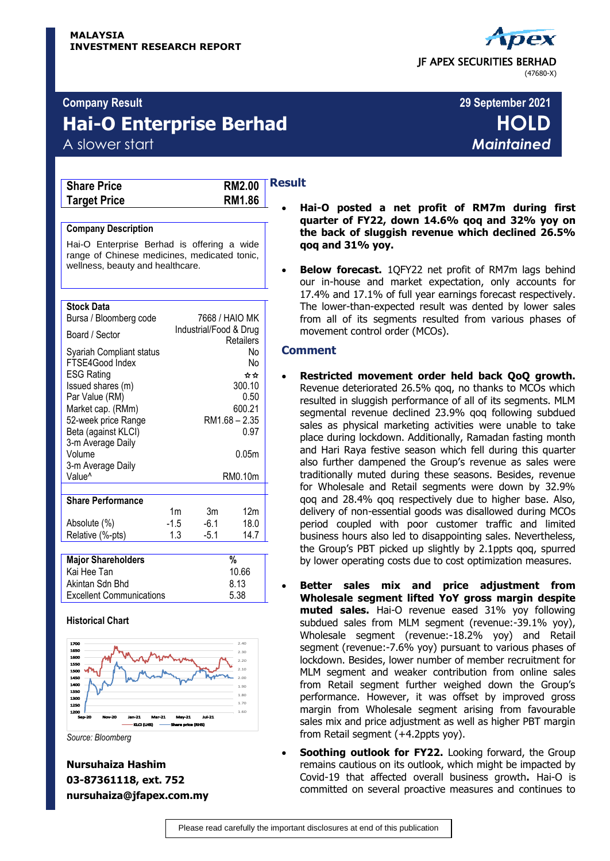# **Hai-O Enterprise Berhad HOLD**

| <b>Share Price</b>  |  |
|---------------------|--|
| <b>Target Price</b> |  |



### **Company Description**

Hai-O Enterprise Berhad is offering a wide range of Chinese medicines, medicated tonic, wellness, beauty and healthcare.

#### **Stock Data**

| Bursa / Bloomberg code    |                        | 7668 / HAIO MK |                 |  |
|---------------------------|------------------------|----------------|-----------------|--|
| Board / Sector            | Industrial/Food & Drug |                |                 |  |
|                           |                        |                | Retailers       |  |
| Syariah Compliant status  |                        |                | No              |  |
| FTSE4Good Index           |                        |                | No              |  |
| <b>ESG Rating</b>         |                        |                | ☆☆              |  |
| Issued shares (m)         |                        |                | 300.10          |  |
| Par Value (RM)            |                        |                | 0.50            |  |
| Market cap. (RMm)         |                        |                | 600.21          |  |
| 52-week price Range       | RM1.68 - 2.35          |                |                 |  |
| Beta (against KLCI)       | 0.97                   |                |                 |  |
| 3-m Average Daily         |                        |                |                 |  |
| Volume                    | 0.05m                  |                |                 |  |
| 3-m Average Daily         |                        |                |                 |  |
| Value <sup>^</sup>        | RM0.10m                |                |                 |  |
|                           |                        |                |                 |  |
| <b>Share Performance</b>  |                        |                |                 |  |
|                           | 1 <sub>m</sub>         | 3m             | 12 <sub>m</sub> |  |
| Absolute (%)              | -1.5                   | $-6.1$         | 18.0            |  |
| Relative (%-pts)          | 1.3                    | $-5.1$         | 14.7            |  |
|                           |                        |                |                 |  |
| <b>Major Shareholders</b> |                        |                | %               |  |
| Kai Hee Tan               |                        |                | 10.66           |  |
| Akintan Sdn Bhd           | 8.13                   |                |                 |  |

#### **Historical Chart**



Excellent Communications 5.38

**Nursuhaiza Hashim 03-87361118, ext. 752 nursuhaiza@jfapex.com.my**

# **Result**

- **Hai-O posted a net profit of RM7m during first quarter of FY22, down 14.6% qoq and 32% yoy on the back of sluggish revenue which declined 26.5% qoq and 31% yoy.**
- **Below forecast.** 1QFY22 net profit of RM7m lags behind our in-house and market expectation, only accounts for 17.4% and 17.1% of full year earnings forecast respectively. The lower-than-expected result was dented by lower sales from all of its segments resulted from various phases of movement control order (MCOs).

# **Comment**

- **Restricted movement order held back QoQ growth.**  Revenue deteriorated 26.5% qoq, no thanks to MCOs which resulted in sluggish performance of all of its segments. MLM segmental revenue declined 23.9% qoq following subdued sales as physical marketing activities were unable to take place during lockdown. Additionally, Ramadan fasting month and Hari Raya festive season which fell during this quarter also further dampened the Group's revenue as sales were traditionally muted during these seasons. Besides, revenue for Wholesale and Retail segments were down by 32.9% qoq and 28.4% qoq respectively due to higher base. Also, delivery of non-essential goods was disallowed during MCOs period coupled with poor customer traffic and limited business hours also led to disappointing sales. Nevertheless, the Group's PBT picked up slightly by 2.1ppts qoq, spurred by lower operating costs due to cost optimization measures.
	- **Better sales mix and price adjustment from Wholesale segment lifted YoY gross margin despite muted sales.** Hai-O revenue eased 31% yoy following subdued sales from MLM segment (revenue:-39.1% yoy), Wholesale segment (revenue:-18.2% yoy) and Retail segment (revenue:-7.6% yoy) pursuant to various phases of lockdown. Besides, lower number of member recruitment for MLM segment and weaker contribution from online sales from Retail segment further weighed down the Group's performance. However, it was offset by improved gross margin from Wholesale segment arising from favourable sales mix and price adjustment as well as higher PBT margin from Retail segment (+4.2ppts yoy).
- **Soothing outlook for FY22.** Looking forward, the Group remains cautious on its outlook, which might be impacted by Covid-19 that affected overall business growth**.** Hai-O is committed on several proactive measures and continues to

 JF APEX SECURITIES BERHAD (47680-X)

# **Company Result 29 September 2021** A slower start *Maintained*

*Source: Bloomberg*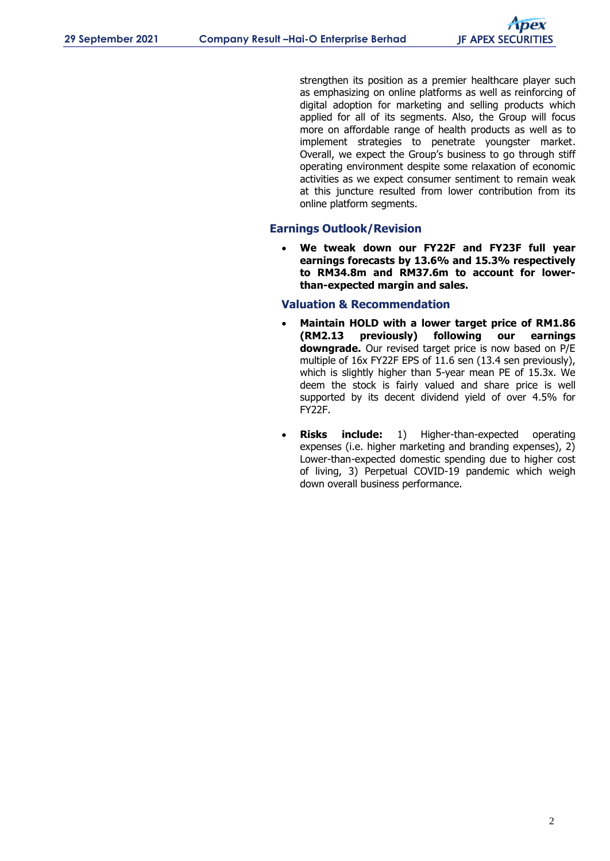strengthen its position as a premier healthcare player such as emphasizing on online platforms as well as reinforcing of digital adoption for marketing and selling products which applied for all of its segments. Also, the Group will focus more on affordable range of health products as well as to implement strategies to penetrate youngster market. Overall, we expect the Group's business to go through stiff operating environment despite some relaxation of economic activities as we expect consumer sentiment to remain weak at this juncture resulted from lower contribution from its online platform segments.

# **Earnings Outlook/Revision**

 **We tweak down our FY22F and FY23F full year earnings forecasts by 13.6% and 15.3% respectively to RM34.8m and RM37.6m to account for lowerthan-expected margin and sales.**

# **Valuation & Recommendation**

- **Maintain HOLD with a lower target price of RM1.86 (RM2.13 previously) following our earnings downgrade.** Our revised target price is now based on P/E multiple of 16x FY22F EPS of 11.6 sen (13.4 sen previously), which is slightly higher than 5-year mean PE of 15.3x. We deem the stock is fairly valued and share price is well supported by its decent dividend yield of over 4.5% for FY22F.
- **Risks include:** 1) Higher-than-expected operating expenses (i.e. higher marketing and branding expenses), 2) Lower-than-expected domestic spending due to higher cost of living, 3) Perpetual COVID-19 pandemic which weigh down overall business performance.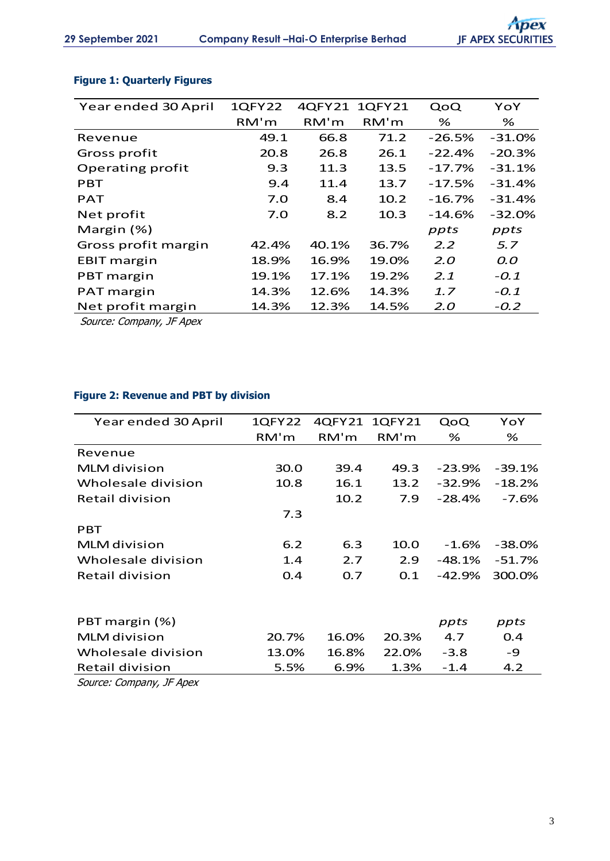| Year ended 30 April | <b>1QFY22</b> | 4QFY21 | <b>1QFY21</b> | QoQ      | YoY      |
|---------------------|---------------|--------|---------------|----------|----------|
|                     | RM'm          | RM'm   | RM'm          | %        | %        |
| Revenue             | 49.1          | 66.8   | 71.2          | $-26.5%$ | $-31.0%$ |
| Gross profit        | 20.8          | 26.8   | 26.1          | $-22.4%$ | $-20.3%$ |
| Operating profit    | 9.3           | 11.3   | 13.5          | $-17.7%$ | $-31.1%$ |
| <b>PBT</b>          | 9.4           | 11.4   | 13.7          | $-17.5%$ | $-31.4%$ |
| <b>PAT</b>          | 7.0           | 8.4    | 10.2          | $-16.7%$ | $-31.4%$ |
| Net profit          | 7.0           | 8.2    | 10.3          | $-14.6%$ | $-32.0%$ |
| Margin (%)          |               |        |               | ppts     | ppts     |
| Gross profit margin | 42.4%         | 40.1%  | 36.7%         | 2.2      | 5.7      |
| <b>EBIT margin</b>  | 18.9%         | 16.9%  | 19.0%         | 2.O      | 0.0      |
| PBT margin          | 19.1%         | 17.1%  | 19.2%         | 2.1      | $-0.1$   |
| PAT margin          | 14.3%         | 12.6%  | 14.3%         | 1.7      | $-0.1$   |
| Net profit margin   | 14.3%         | 12.3%  | 14.5%         | 2.O      | $-0.2$   |

# **Figure 1: Quarterly Figures**

Source: Company, JF Apex

# **Figure 2: Revenue and PBT by division**

| Year ended 30 April | 1QFY22 | 4QFY21 | 1QFY21 | QoQ       | YoY       |
|---------------------|--------|--------|--------|-----------|-----------|
|                     | RM'm   | RM'm   | RM'm   | %         | %         |
| Revenue             |        |        |        |           |           |
| <b>MLM</b> division | 30.0   | 39.4   | 49.3   | $-23.9%$  | $-39.1%$  |
| Wholesale division  | 10.8   | 16.1   | 13.2   | $-32.9%$  | $-18.2%$  |
| Retail division     |        | 10.2   | 7.9    | $-28.4%$  | $-7.6%$   |
|                     | 7.3    |        |        |           |           |
| <b>PBT</b>          |        |        |        |           |           |
| <b>MLM</b> division | 6.2    | 6.3    | 10.0   | $-1.6%$   | $-38.0\%$ |
| Wholesale division  | 1.4    | 2.7    | 2.9    | $-48.1\%$ | $-51.7%$  |
| Retail division     | 0.4    | 0.7    | 0.1    | $-42.9%$  | 300.0%    |
|                     |        |        |        |           |           |
| PBT margin (%)      |        |        |        | ppts      | ppts      |
| <b>MLM</b> division | 20.7%  | 16.0%  | 20.3%  | 4.7       | 0.4       |
| Wholesale division  | 13.0%  | 16.8%  | 22.0%  | $-3.8$    | -9        |
| Retail division     | 5.5%   | 6.9%   | 1.3%   | $-1.4$    | 4.2       |

Source: Company, JF Apex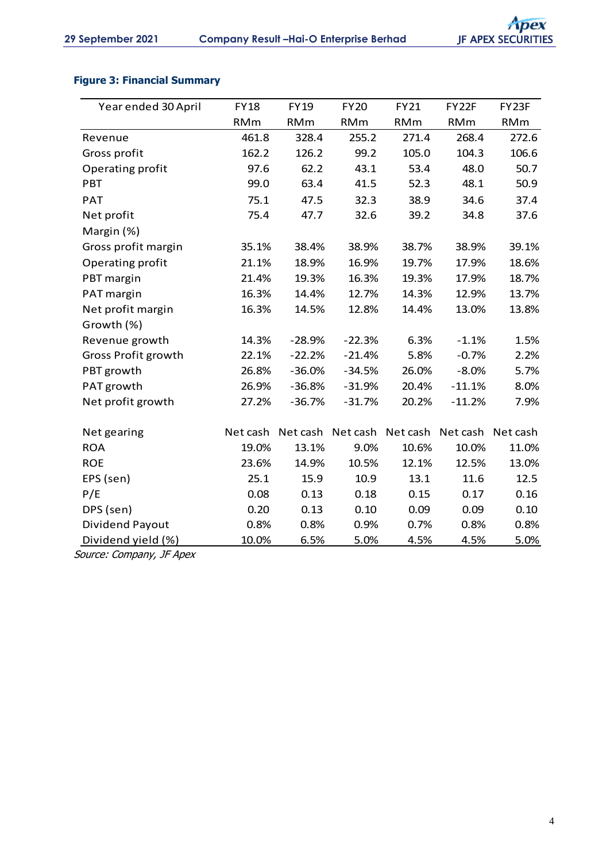# **Figure 3: Financial Summary**

| <b>FY18</b> | <b>FY19</b> | <b>FY20</b> | <b>FY21</b>       | FY22F      | FY23F             |
|-------------|-------------|-------------|-------------------|------------|-------------------|
| <b>RMm</b>  | <b>RMm</b>  | <b>RMm</b>  | <b>RMm</b>        | <b>RMm</b> | <b>RMm</b>        |
| 461.8       | 328.4       | 255.2       | 271.4             | 268.4      | 272.6             |
| 162.2       | 126.2       | 99.2        | 105.0             | 104.3      | 106.6             |
| 97.6        | 62.2        | 43.1        | 53.4              | 48.0       | 50.7              |
| 99.0        | 63.4        | 41.5        | 52.3              | 48.1       | 50.9              |
| 75.1        | 47.5        | 32.3        | 38.9              | 34.6       | 37.4              |
| 75.4        | 47.7        | 32.6        | 39.2              | 34.8       | 37.6              |
|             |             |             |                   |            |                   |
| 35.1%       | 38.4%       | 38.9%       | 38.7%             | 38.9%      | 39.1%             |
| 21.1%       | 18.9%       | 16.9%       | 19.7%             | 17.9%      | 18.6%             |
| 21.4%       | 19.3%       | 16.3%       | 19.3%             | 17.9%      | 18.7%             |
| 16.3%       | 14.4%       | 12.7%       | 14.3%             | 12.9%      | 13.7%             |
| 16.3%       | 14.5%       | 12.8%       | 14.4%             | 13.0%      | 13.8%             |
|             |             |             |                   |            |                   |
| 14.3%       | $-28.9%$    | $-22.3%$    | 6.3%              | $-1.1%$    | 1.5%              |
| 22.1%       | $-22.2%$    | $-21.4%$    | 5.8%              | $-0.7%$    | 2.2%              |
| 26.8%       | $-36.0%$    | $-34.5%$    | 26.0%             | $-8.0%$    | 5.7%              |
| 26.9%       | $-36.8%$    | $-31.9%$    | 20.4%             | $-11.1%$   | 8.0%              |
| 27.2%       | $-36.7%$    | $-31.7%$    | 20.2%             | $-11.2%$   | 7.9%              |
|             |             |             |                   |            |                   |
| Net cash    |             |             |                   | Net cash   | Net cash          |
| 19.0%       | 13.1%       | 9.0%        | 10.6%             |            | 11.0%             |
| 23.6%       | 14.9%       | 10.5%       | 12.1%             | 12.5%      | 13.0%             |
| 25.1        | 15.9        | 10.9        | 13.1              | 11.6       | 12.5              |
| 0.08        | 0.13        | 0.18        | 0.15              | 0.17       | 0.16              |
| 0.20        | 0.13        | 0.10        | 0.09              | 0.09       | 0.10              |
| 0.8%        | 0.8%        | 0.9%        | 0.7%              | 0.8%       | 0.8%              |
| 10.0%       | 6.5%        | 5.0%        | 4.5%              | 4.5%       | 5.0%              |
|             |             |             | Net cash Net cash |            | Net cash<br>10.0% |

Source: Company, JF Apex